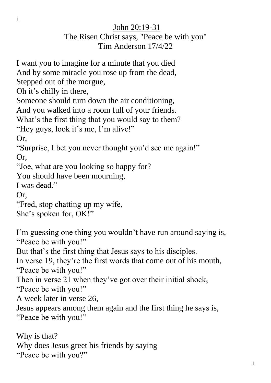## John 20:19-31

## The Risen Christ says, "Peace be with you" Tim Anderson 17/4/22

I want you to imagine for a minute that you died And by some miracle you rose up from the dead, Stepped out of the morgue, Oh it's chilly in there, Someone should turn down the air conditioning, And you walked into a room full of your friends. What's the first thing that you would say to them? "Hey guys, look it's me, I'm alive!" Or, "Surprise, I bet you never thought you'd see me again!" Or, "Joe, what are you looking so happy for? You should have been mourning, I was dead." Or, "Fred, stop chatting up my wife, She's spoken for, OK!" I'm guessing one thing you wouldn't have run around saying is, "Peace be with you!" But that's the first thing that Jesus says to his disciples. In verse 19, they're the first words that come out of his mouth, "Peace be with you!" Then in verse 21 when they've got over their initial shock, "Peace be with you!" A week later in verse 26, Jesus appears among them again and the first thing he says is, "Peace be with you!" Why is that?

Why does Jesus greet his friends by saying "Peace be with you?"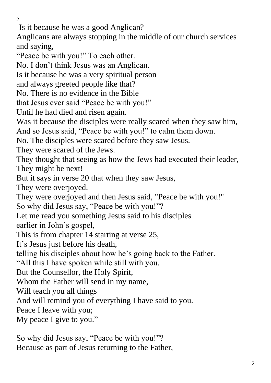$\mathcal{L}$ 

Is it because he was a good Anglican?

Anglicans are always stopping in the middle of our church services and saying,

"Peace be with you!" To each other.

No. I don't think Jesus was an Anglican.

Is it because he was a very spiritual person

and always greeted people like that?

No. There is no evidence in the Bible

that Jesus ever said "Peace be with you!"

Until he had died and risen again.

Was it because the disciples were really scared when they saw him,

And so Jesus said, "Peace be with you!" to calm them down.

No. The disciples were scared before they saw Jesus.

They were scared of the Jews.

They thought that seeing as how the Jews had executed their leader, They might be next!

But it says in verse 20 that when they saw Jesus,

They were overjoyed.

They were overjoyed and then Jesus said, "Peace be with you!" So why did Jesus say, "Peace be with you!"?

Let me read you something Jesus said to his disciples

earlier in John's gospel,

This is from chapter 14 starting at verse 25,

It's Jesus just before his death,

telling his disciples about how he's going back to the Father.

"All this I have spoken while still with you.

But the Counsellor, the Holy Spirit,

Whom the Father will send in my name,

Will teach you all things

And will remind you of everything I have said to you.

Peace I leave with you;

My peace I give to you."

So why did Jesus say, "Peace be with you!"? Because as part of Jesus returning to the Father,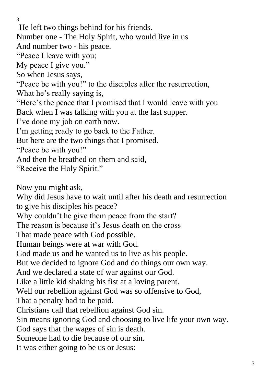He left two things behind for his friends. Number one - The Holy Spirit, who would live in us And number two - his peace. "Peace I leave with you; My peace I give you." So when Jesus says, "Peace be with you!" to the disciples after the resurrection, What he's really saying is, "Here's the peace that I promised that I would leave with you Back when I was talking with you at the last supper. I've done my job on earth now. I'm getting ready to go back to the Father. But here are the two things that I promised. "Peace be with you!" And then he breathed on them and said, "Receive the Holy Spirit." Now you might ask, Why did Jesus have to wait until after his death and resurrection to give his disciples his peace? Why couldn't he give them peace from the start? The reason is because it's Jesus death on the cross That made peace with God possible. Human beings were at war with God. God made us and he wanted us to live as his people. But we decided to ignore God and do things our own way. And we declared a state of war against our God. Like a little kid shaking his fist at a loving parent. Well our rebellion against God was so offensive to God, That a penalty had to be paid.

Christians call that rebellion against God sin.

Sin means ignoring God and choosing to live life your own way.

God says that the wages of sin is death.

Someone had to die because of our sin.

It was either going to be us or Jesus: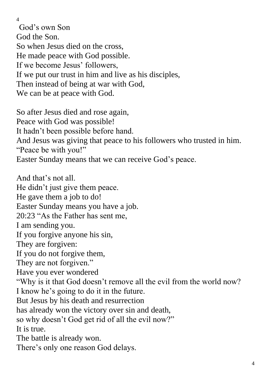God's own Son God the Son. So when Jesus died on the cross, He made peace with God possible. If we become Jesus' followers, If we put our trust in him and live as his disciples, Then instead of being at war with God, We can be at peace with God.

So after Jesus died and rose again, Peace with God was possible! It hadn't been possible before hand. And Jesus was giving that peace to his followers who trusted in him. "Peace be with you!" Easter Sunday means that we can receive God's peace.

And that's not all. He didn't just give them peace. He gave them a job to do! Easter Sunday means you have a job. 20:23 "As the Father has sent me, I am sending you. If you forgive anyone his sin, They are forgiven: If you do not forgive them, They are not forgiven." Have you ever wondered "Why is it that God doesn't remove all the evil from the world now? I know he's going to do it in the future. But Jesus by his death and resurrection has already won the victory over sin and death, so why doesn't God get rid of all the evil now?" It is true. The battle is already won. There's only one reason God delays.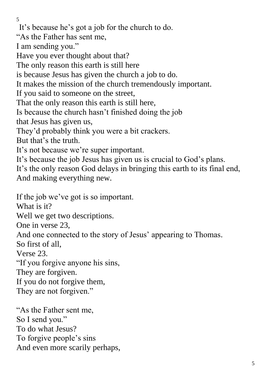It's because he's got a job for the church to do.

"As the Father has sent me,

I am sending you."

Have you ever thought about that?

The only reason this earth is still here

is because Jesus has given the church a job to do.

It makes the mission of the church tremendously important.

If you said to someone on the street,

That the only reason this earth is still here,

Is because the church hasn't finished doing the job

that Jesus has given us,

They'd probably think you were a bit crackers.

But that's the truth.

It's not because we're super important.

It's because the job Jesus has given us is crucial to God's plans.

It's the only reason God delays in bringing this earth to its final end, And making everything new.

If the job we've got is so important.

What is it?

Well we get two descriptions.

One in verse 23,

And one connected to the story of Jesus' appearing to Thomas.

So first of all,

Verse 23.

"If you forgive anyone his sins,

They are forgiven.

If you do not forgive them,

They are not forgiven."

"As the Father sent me, So I send you." To do what Jesus? To forgive people's sins And even more scarily perhaps,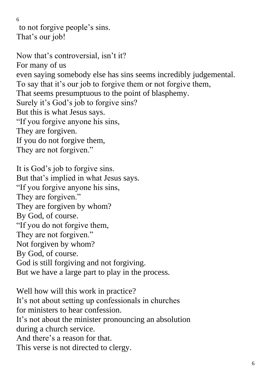to not forgive people's sins. That's our job!

Now that's controversial, isn't it? For many of us even saying somebody else has sins seems incredibly judgemental. To say that it's our job to forgive them or not forgive them, That seems presumptuous to the point of blasphemy. Surely it's God's job to forgive sins? But this is what Jesus says. "If you forgive anyone his sins, They are forgiven. If you do not forgive them, They are not forgiven."

It is God's job to forgive sins. But that's implied in what Jesus says. "If you forgive anyone his sins, They are forgiven." They are forgiven by whom? By God, of course. "If you do not forgive them, They are not forgiven." Not forgiven by whom? By God, of course. God is still forgiving and not forgiving. But we have a large part to play in the process.

Well how will this work in practice? It's not about setting up confessionals in churches for ministers to hear confession. It's not about the minister pronouncing an absolution during a church service. And there's a reason for that. This verse is not directed to clergy.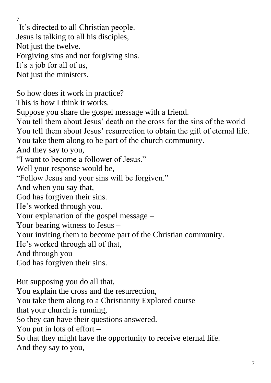It's directed to all Christian people. Jesus is talking to all his disciples, Not just the twelve. Forgiving sins and not forgiving sins. It's a job for all of us, Not just the ministers. So how does it work in practice? This is how I think it works. Suppose you share the gospel message with a friend. You tell them about Jesus' death on the cross for the sins of the world – You tell them about Jesus' resurrection to obtain the gift of eternal life. You take them along to be part of the church community. And they say to you, "I want to become a follower of Jesus." Well your response would be, "Follow Jesus and your sins will be forgiven." And when you say that, God has forgiven their sins. He's worked through you. Your explanation of the gospel message – Your bearing witness to Jesus – Your inviting them to become part of the Christian community. He's worked through all of that, And through you – God has forgiven their sins. But supposing you do all that, You explain the cross and the resurrection, You take them along to a Christianity Explored course that your church is running, So they can have their questions answered. You put in lots of effort – So that they might have the opportunity to receive eternal life.

7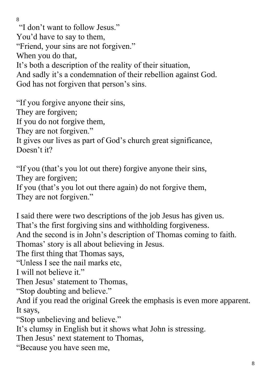8 "I don't want to follow Jesus." You'd have to say to them, "Friend, your sins are not forgiven." When you do that, It's both a description of the reality of their situation, And sadly it's a condemnation of their rebellion against God. God has not forgiven that person's sins.

"If you forgive anyone their sins, They are forgiven; If you do not forgive them, They are not forgiven." It gives our lives as part of God's church great significance, Doesn't it?

"If you (that's you lot out there) forgive anyone their sins, They are forgiven; If you (that's you lot out there again) do not forgive them, They are not forgiven."

I said there were two descriptions of the job Jesus has given us. That's the first forgiving sins and withholding forgiveness. And the second is in John's description of Thomas coming to faith. Thomas' story is all about believing in Jesus.

The first thing that Thomas says,

"Unless I see the nail marks etc,

I will not believe it."

Then Jesus' statement to Thomas,

"Stop doubting and believe."

And if you read the original Greek the emphasis is even more apparent. It says,

"Stop unbelieving and believe."

It's clumsy in English but it shows what John is stressing.

Then Jesus' next statement to Thomas,

"Because you have seen me,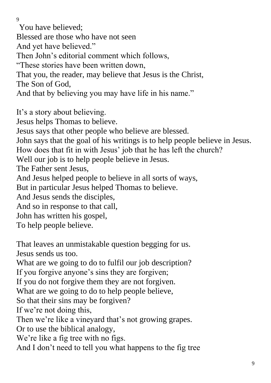You have believed;

Blessed are those who have not seen

And yet have believed."

Then John's editorial comment which follows,

"These stories have been written down,

That you, the reader, may believe that Jesus is the Christ,

The Son of God,

And that by believing you may have life in his name."

It's a story about believing.

Jesus helps Thomas to believe.

Jesus says that other people who believe are blessed.

John says that the goal of his writings is to help people believe in Jesus.

How does that fit in with Jesus' job that he has left the church?

Well our job is to help people believe in Jesus.

The Father sent Jesus,

And Jesus helped people to believe in all sorts of ways,

But in particular Jesus helped Thomas to believe.

And Jesus sends the disciples,

And so in response to that call,

John has written his gospel,

To help people believe.

That leaves an unmistakable question begging for us. Jesus sends us too. What are we going to do to fulfil our job description? If you forgive anyone's sins they are forgiven; If you do not forgive them they are not forgiven. What are we going to do to help people believe, So that their sins may be forgiven? If we're not doing this, Then we're like a vineyard that's not growing grapes. Or to use the biblical analogy, We're like a fig tree with no figs. And I don't need to tell you what happens to the fig tree